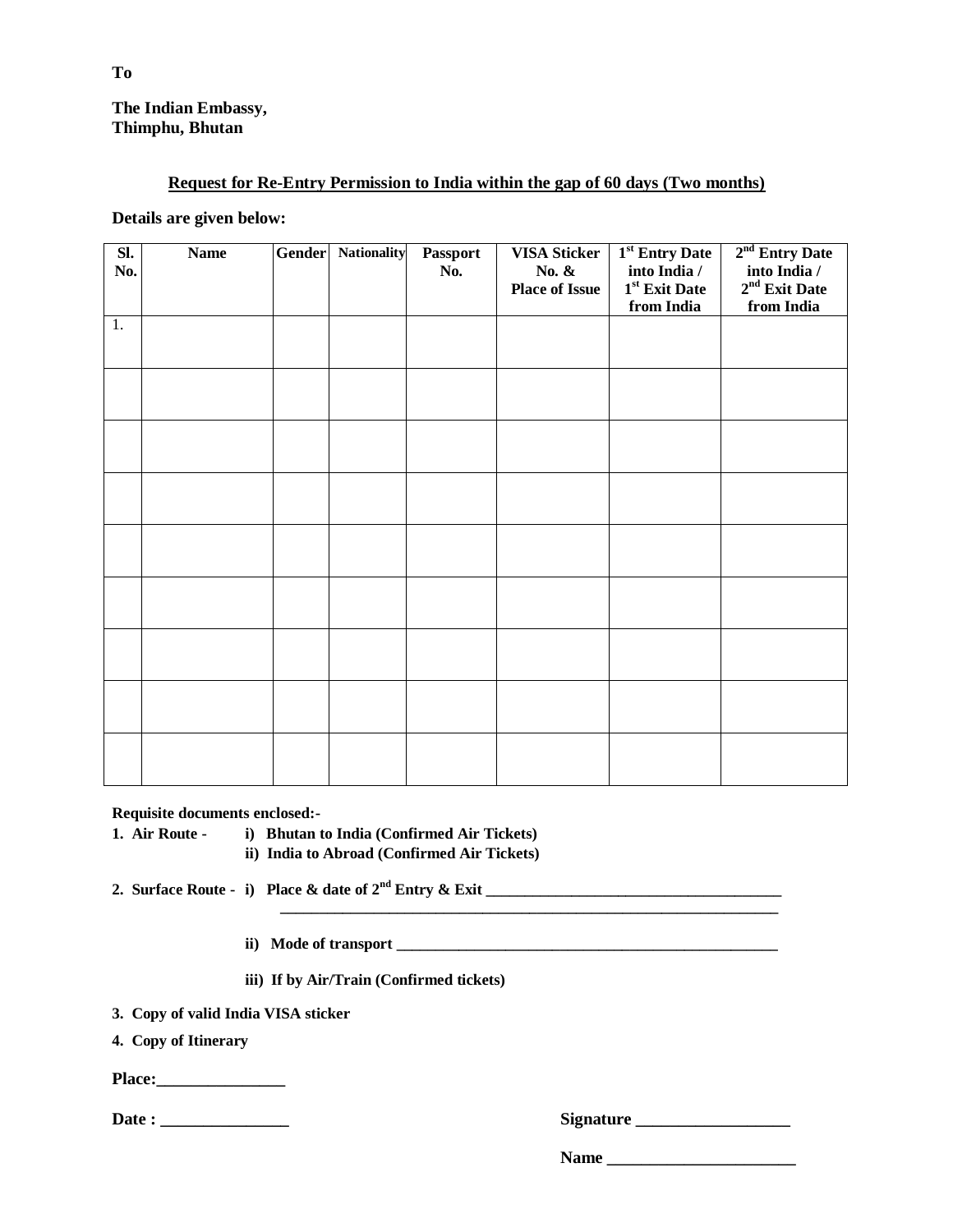## **The Indian Embassy, Thimphu, Bhutan**

## **Request for Re-Entry Permission to India within the gap of 60 days (Two months)**

### **Details are given below:**

| SI.<br>No. | <b>Name</b> | Gender | <b>Nationality</b> | Passport<br>No. | <b>VISA Sticker</b><br>No. &<br><b>Place of Issue</b> | 1 <sup>st</sup> Entry Date<br>into India /<br>1 <sup>st</sup> Exit Date<br>from India | 2 <sup>nd</sup> Entry Date<br>into India /<br>$2nd$ Exit Date<br>from India |
|------------|-------------|--------|--------------------|-----------------|-------------------------------------------------------|---------------------------------------------------------------------------------------|-----------------------------------------------------------------------------|
| 1.         |             |        |                    |                 |                                                       |                                                                                       |                                                                             |
|            |             |        |                    |                 |                                                       |                                                                                       |                                                                             |
|            |             |        |                    |                 |                                                       |                                                                                       |                                                                             |
|            |             |        |                    |                 |                                                       |                                                                                       |                                                                             |
|            |             |        |                    |                 |                                                       |                                                                                       |                                                                             |
|            |             |        |                    |                 |                                                       |                                                                                       |                                                                             |
|            |             |        |                    |                 |                                                       |                                                                                       |                                                                             |
|            |             |        |                    |                 |                                                       |                                                                                       |                                                                             |
|            |             |        |                    |                 |                                                       |                                                                                       |                                                                             |

**Requisite documents enclosed:-**

**1. Air Route - i) Bhutan to India (Confirmed Air Tickets)**

**ii) India to Abroad (Confirmed Air Tickets)**

**2. Surface Route - i) Place & date of 2nd Entry & Exit \_\_\_\_\_\_\_\_\_\_\_\_\_\_\_\_\_\_\_\_\_\_\_\_\_\_\_\_\_\_\_\_\_\_\_\_\_\_** 

**ii**) Mode of transport

**iii) If by Air/Train (Confirmed tickets)**

**3. Copy of valid India VISA sticker** 

**4. Copy of Itinerary**

**Place:\_\_\_\_\_\_\_\_\_\_\_\_\_\_\_**

**Date : \_\_\_\_\_\_\_\_\_\_\_\_\_\_\_ Signature \_\_\_\_\_\_\_\_\_\_\_\_\_\_\_\_\_\_**

**Name \_\_\_\_\_\_\_\_\_\_\_\_\_\_\_\_\_\_\_\_\_\_**

**\_\_\_\_\_\_\_\_\_\_\_\_\_\_\_\_\_\_\_\_\_\_\_\_\_\_\_\_\_\_\_\_\_\_\_\_\_\_\_\_\_\_\_\_\_\_\_\_\_\_\_\_\_\_\_\_\_\_\_\_\_\_\_\_**

**To**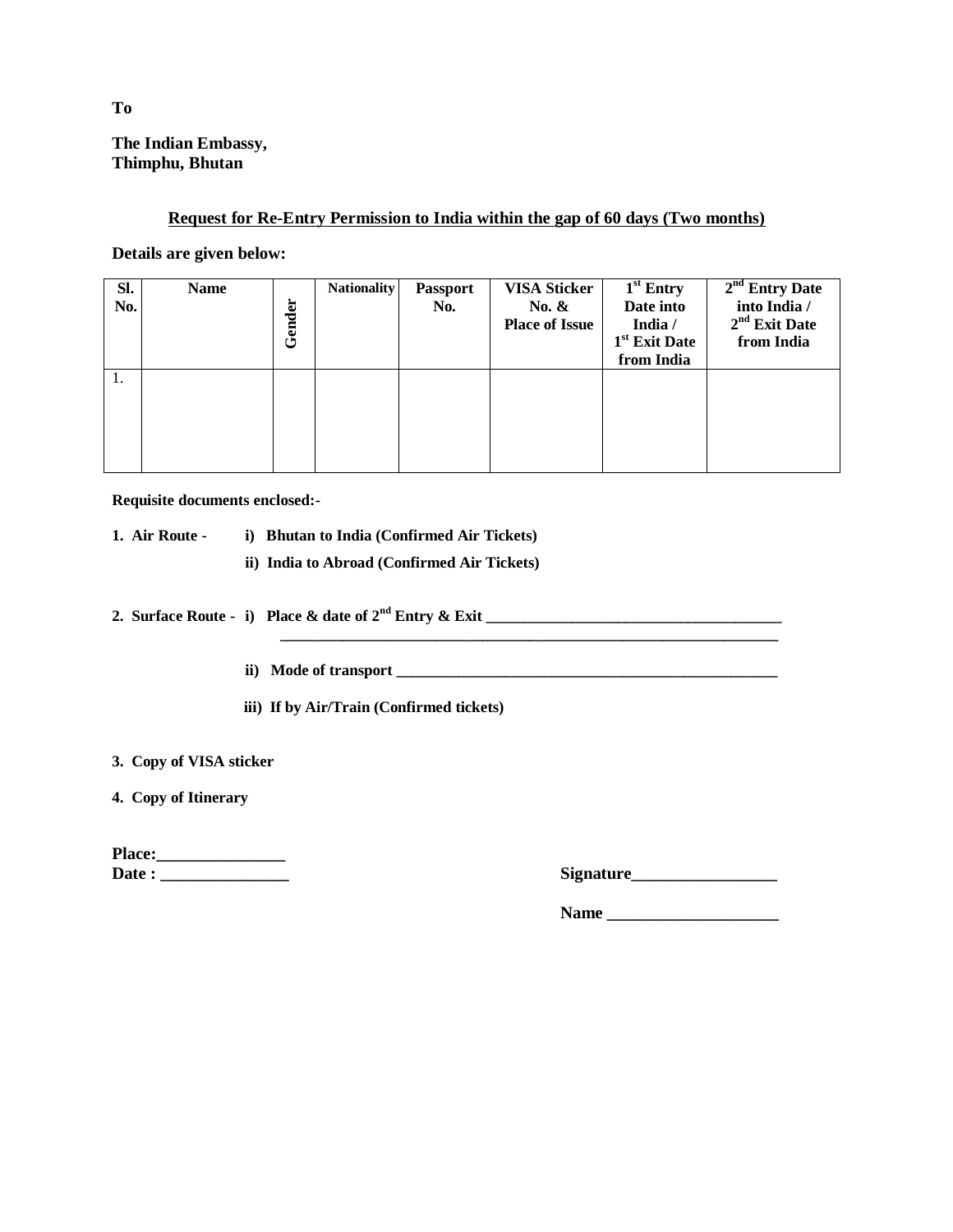# **The Indian Embassy, Thimphu, Bhutan**

### **Request for Re-Entry Permission to India within the gap of 60 days (Two months)**

**Details are given below:**

| SI.<br>No. | <b>Name</b> | Gender | <b>Nationality</b> | <b>Passport</b><br>No. | <b>VISA Sticker</b><br>No. $\&$<br><b>Place of Issue</b> | $1st$ Entry<br>Date into<br>India /<br>1 <sup>st</sup> Exit Date<br>from India | $2nd$ Entry Date<br>into India /<br>$2nd$ Exit Date<br>from India |
|------------|-------------|--------|--------------------|------------------------|----------------------------------------------------------|--------------------------------------------------------------------------------|-------------------------------------------------------------------|
| 1.         |             |        |                    |                        |                                                          |                                                                                |                                                                   |

**Requisite documents enclosed:-**

|  | 1. Air Route - |  | i) Bhutan to India (Confirmed Air Tickets) |  |
|--|----------------|--|--------------------------------------------|--|
|--|----------------|--|--------------------------------------------|--|

**ii) India to Abroad (Confirmed Air Tickets)**

**2. Surface Route - i) Place & date of 2nd Entry & Exit \_\_\_\_\_\_\_\_\_\_\_\_\_\_\_\_\_\_\_\_\_\_\_\_\_\_\_\_\_\_\_\_\_\_\_\_\_\_** 

- **ii) Mode of transport \_\_\_\_\_\_\_\_\_\_\_\_\_\_\_\_\_\_\_\_\_\_\_\_\_\_\_\_\_\_\_\_\_\_\_\_\_\_\_\_\_\_\_\_\_\_\_\_\_**
- **iii) If by Air/Train (Confirmed tickets)**

**3. Copy of VISA sticker** 

**4. Copy of Itinerary**

| <b>Place:</b> |  |
|---------------|--|
| Date :        |  |

| Date :<br><b>Signature</b> |  |
|----------------------------|--|
|----------------------------|--|

**Name \_\_\_\_\_\_\_\_\_\_\_\_\_\_\_\_\_\_\_\_**

**To**